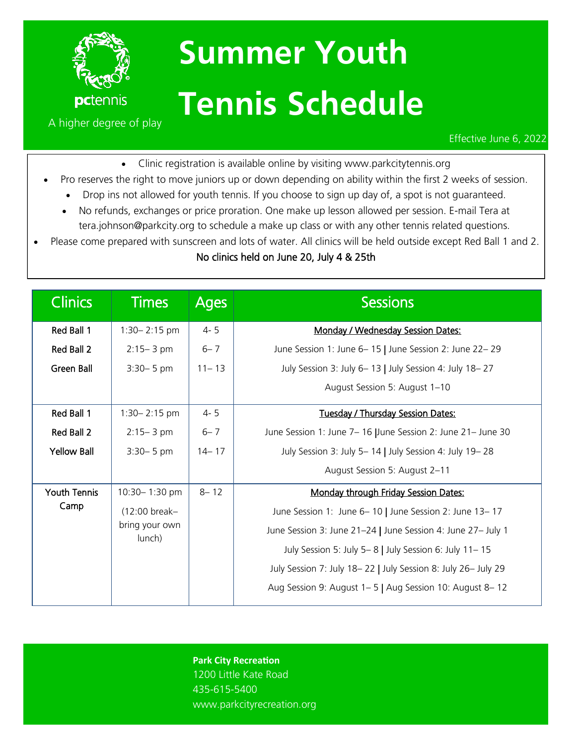

## **Summer Youth Tennis Schedule**

Effective June 6, 2022

• Clinic registration is available online by visiting www.parkcitytennis.org

- Pro reserves the right to move juniors up or down depending on ability within the first 2 weeks of session.
	- Drop ins not allowed for youth tennis. If you choose to sign up day of, a spot is not quaranteed.
	- No refunds, exchanges or price proration. One make up lesson allowed per session. E-mail Tera at tera.johnson@parkcity.org to schedule a make up class or with any other tennis related questions.
- Please come prepared with sunscreen and lots of water. All clinics will be held outside except Red Ball 1 and 2.

## No clinics held on June 20, July 4 & 25th

| <b>Clinics</b>      | <b>Times</b>             | <b>Ages</b> | <b>Sessions</b>                                               |
|---------------------|--------------------------|-------------|---------------------------------------------------------------|
| Red Ball 1          | $1:30 - 2:15$ pm         | $4 - 5$     | Monday / Wednesday Session Dates:                             |
| Red Ball 2          | $2:15 - 3$ pm            | $6 - 7$     | June Session 1: June 6-15   June Session 2: June 22-29        |
| Green Ball          | $3:30 - 5$ pm            | $11 - 13$   | July Session 3: July 6-13   July Session 4: July 18-27        |
|                     |                          |             | August Session 5: August 1-10                                 |
| Red Ball 1          | $1:30 - 2:15$ pm         | $4 - 5$     | Tuesday / Thursday Session Dates:                             |
| Red Ball 2          | $2:15 - 3$ pm            | $6 - 7$     | June Session 1: June 7-16 June Session 2: June 21- June 30    |
| <b>Yellow Ball</b>  | $3:30 - 5$ pm            | $14 - 17$   | July Session 3: July 5-14   July Session 4: July 19-28        |
|                     |                          |             | August Session 5: August 2-11                                 |
| <b>Youth Tennis</b> | 10:30-1:30 pm            | $8 - 12$    | Monday through Friday Session Dates:                          |
| Camp                | (12:00 break-            |             | June Session 1: June 6-10   June Session 2: June 13-17        |
|                     | bring your own<br>lunch) |             | June Session 3: June 21-24   June Session 4: June 27- July 1  |
|                     |                          |             | July Session 5: July 5-8   July Session 6: July 11-15         |
|                     |                          |             | July Session 7: July 18-22   July Session 8: July 26- July 29 |
|                     |                          |             | Aug Session 9: August 1–5   Aug Session 10: August 8–12       |

**Park City Recreation**

1200 Little Kate Road 435-615-5400 www.parkcityrecreation.org